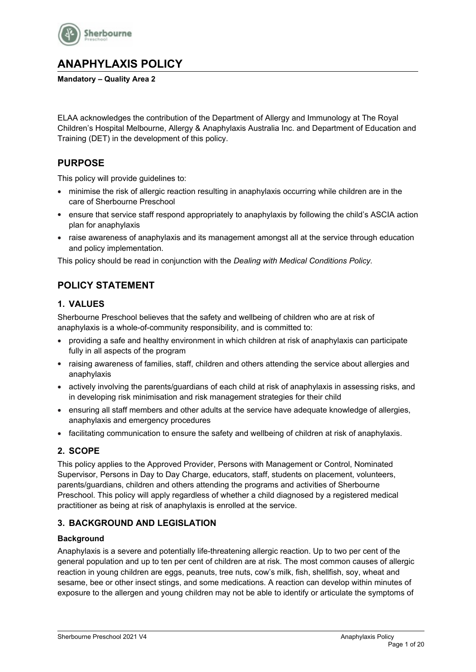

# **ANAPHYLAXIS POLICY**

**Mandatory – Quality Area 2**

ELAA acknowledges the contribution of the Department of Allergy and Immunology at The Royal Children's Hospital Melbourne, Allergy & Anaphylaxis Australia Inc. and Department of Education and Training (DET) in the development of this policy.

# **PURPOSE**

This policy will provide guidelines to:

- minimise the risk of allergic reaction resulting in anaphylaxis occurring while children are in the care of Sherbourne Preschool
- ensure that service staff respond appropriately to anaphylaxis by following the child's ASCIA action plan for anaphylaxis
- raise awareness of anaphylaxis and its management amongst all at the service through education and policy implementation.

This policy should be read in conjunction with the *Dealing with Medical Conditions Policy.*

# **POLICY STATEMENT**

### **1. VALUES**

Sherbourne Preschool believes that the safety and wellbeing of children who are at risk of anaphylaxis is a whole-of-community responsibility, and is committed to:

- providing a safe and healthy environment in which children at risk of anaphylaxis can participate fully in all aspects of the program
- raising awareness of families, staff, children and others attending the service about allergies and anaphylaxis
- actively involving the parents/guardians of each child at risk of anaphylaxis in assessing risks, and in developing risk minimisation and risk management strategies for their child
- ensuring all staff members and other adults at the service have adequate knowledge of allergies, anaphylaxis and emergency procedures
- facilitating communication to ensure the safety and wellbeing of children at risk of anaphylaxis.

### **2. SCOPE**

This policy applies to the Approved Provider, Persons with Management or Control, Nominated Supervisor, Persons in Day to Day Charge, educators, staff, students on placement, volunteers, parents/guardians, children and others attending the programs and activities of Sherbourne Preschool. This policy will apply regardless of whether a child diagnosed by a registered medical practitioner as being at risk of anaphylaxis is enrolled at the service.

### **3. BACKGROUND AND LEGISLATION**

#### **Background**

Anaphylaxis is a severe and potentially life-threatening allergic reaction. Up to two per cent of the general population and up to ten per cent of children are at risk. The most common causes of allergic reaction in young children are eggs, peanuts, tree nuts, cow's milk, fish, shellfish, soy, wheat and sesame, bee or other insect stings, and some medications. A reaction can develop within minutes of exposure to the allergen and young children may not be able to identify or articulate the symptoms of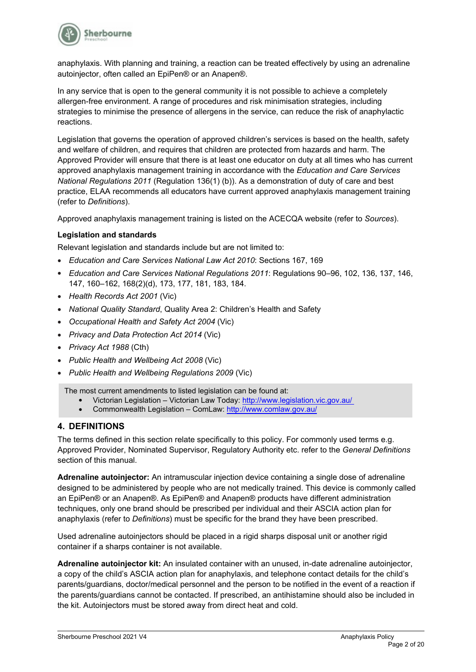

anaphylaxis. With planning and training, a reaction can be treated effectively by using an adrenaline autoinjector, often called an EpiPen® or an Anapen®.

In any service that is open to the general community it is not possible to achieve a completely allergen-free environment. A range of procedures and risk minimisation strategies, including strategies to minimise the presence of allergens in the service, can reduce the risk of anaphylactic reactions.

Legislation that governs the operation of approved children's services is based on the health, safety and welfare of children, and requires that children are protected from hazards and harm. The Approved Provider will ensure that there is at least one educator on duty at all times who has current approved anaphylaxis management training in accordance with the *Education and Care Services National Regulations 2011* (Regulation 136(1) (b)). As a demonstration of duty of care and best practice, ELAA recommends all educators have current approved anaphylaxis management training (refer to *Definitions*).

Approved anaphylaxis management training is listed on the ACECQA website (refer to *Sources*).

#### **Legislation and standards**

Relevant legislation and standards include but are not limited to:

- *Education and Care Services National Law Act 2010*: Sections 167, 169
- *Education and Care Services National Regulations 2011*: Regulations 90–96, 102, 136, 137, 146, 147, 160–162, 168(2)(d), 173, 177, 181, 183, 184.
- *Health Records Act 2001* (Vic)
- *National Quality Standard*, Quality Area 2: Children's Health and Safety
- *Occupational Health and Safety Act 2004* (Vic)
- *Privacy and Data Protection Act 2014* (Vic)
- *Privacy Act 1988* (Cth)
- *Public Health and Wellbeing Act 2008* (Vic)
- *Public Health and Wellbeing Regulations 2009* (Vic)

The most current amendments to listed legislation can be found at:

- Victorian Legislation Victorian Law Today: http://www.legislation.vic.gov.au/
- Commonwealth Legislation ComLaw: http://www.comlaw.gov.au/

#### **4. DEFINITIONS**

The terms defined in this section relate specifically to this policy. For commonly used terms e.g. Approved Provider, Nominated Supervisor, Regulatory Authority etc. refer to the *General Definitions* section of this manual.

**Adrenaline autoinjector:** An intramuscular injection device containing a single dose of adrenaline designed to be administered by people who are not medically trained. This device is commonly called an EpiPen® or an Anapen®. As EpiPen® and Anapen® products have different administration techniques, only one brand should be prescribed per individual and their ASCIA action plan for anaphylaxis (refer to *Definitions*) must be specific for the brand they have been prescribed.

Used adrenaline autoinjectors should be placed in a rigid sharps disposal unit or another rigid container if a sharps container is not available.

**Adrenaline autoinjector kit:** An insulated container with an unused, in-date adrenaline autoinjector, a copy of the child's ASCIA action plan for anaphylaxis, and telephone contact details for the child's parents/guardians, doctor/medical personnel and the person to be notified in the event of a reaction if the parents/guardians cannot be contacted. If prescribed, an antihistamine should also be included in the kit. Autoinjectors must be stored away from direct heat and cold.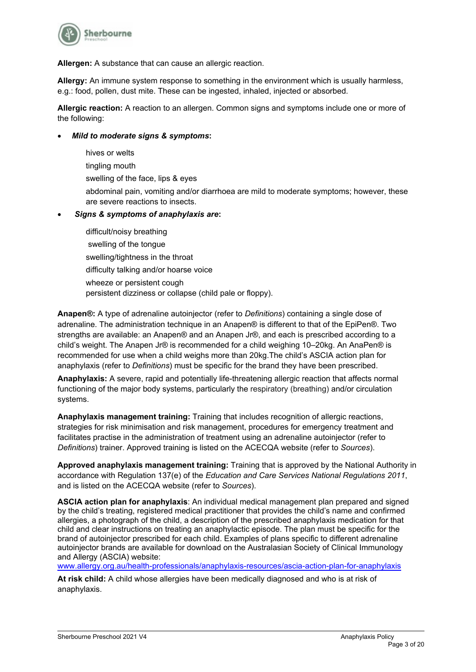

**Allergen:** A substance that can cause an allergic reaction.

**Allergy:** An immune system response to something in the environment which is usually harmless, e.g.: food, pollen, dust mite. These can be ingested, inhaled, injected or absorbed.

**Allergic reaction:** A reaction to an allergen. Common signs and symptoms include one or more of the following:

*Mild to moderate signs & symptoms***:**

hives or welts tingling mouth swelling of the face, lips & eyes abdominal pain, vomiting and/or diarrhoea are mild to moderate symptoms; however, these are severe reactions to insects.

*Signs & symptoms of anaphylaxis are***:**

difficult/noisy breathing swelling of the tongue swelling/tightness in the throat difficulty talking and/or hoarse voice wheeze or persistent cough persistent dizziness or collapse (child pale or floppy).

**Anapen®:** A type of adrenaline autoinjector (refer to *Definitions*) containing a single dose of adrenaline. The administration technique in an Anapen® is different to that of the EpiPen®. Two strengths are available: an Anapen® and an Anapen Jr®, and each is prescribed according to a child's weight. The Anapen Jr® is recommended for a child weighing 10–20kg. An AnaPen® is recommended for use when a child weighs more than 20kg.The child's ASCIA action plan for anaphylaxis (refer to *Definitions*) must be specific for the brand they have been prescribed.

**Anaphylaxis:** A severe, rapid and potentially life-threatening allergic reaction that affects normal functioning of the major body systems, particularly the respiratory (breathing) and/or circulation systems.

**Anaphylaxis management training:** Training that includes recognition of allergic reactions, strategies for risk minimisation and risk management, procedures for emergency treatment and facilitates practise in the administration of treatment using an adrenaline autoinjector (refer to *Definitions*) trainer. Approved training is listed on the ACECQA website (refer to *Sources*).

**Approved anaphylaxis management training:** Training that is approved by the National Authority in accordance with Regulation 137(e) of the *Education and Care Services National Regulations 2011*, and is listed on the ACECQA website (refer to *Sources*).

**ASCIA action plan for anaphylaxis**: An individual medical management plan prepared and signed by the child's treating, registered medical practitioner that provides the child's name and confirmed allergies, a photograph of the child, a description of the prescribed anaphylaxis medication for that child and clear instructions on treating an anaphylactic episode. The plan must be specific for the brand of autoinjector prescribed for each child. Examples of plans specific to different adrenaline autoinjector brands are available for download on the Australasian Society of Clinical Immunology and Allergy (ASCIA) website:

www.allergy.org.au/health-professionals/anaphylaxis-resources/ascia-action-plan-for-anaphylaxis

**At risk child:** A child whose allergies have been medically diagnosed and who is at risk of anaphylaxis.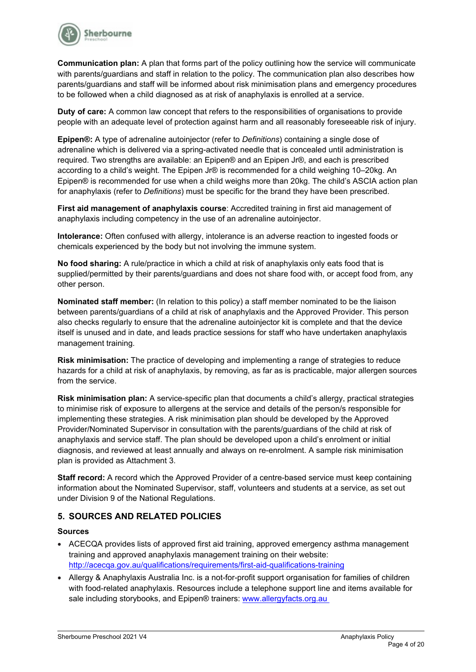

**Communication plan:** A plan that forms part of the policy outlining how the service will communicate with parents/guardians and staff in relation to the policy. The communication plan also describes how parents/guardians and staff will be informed about risk minimisation plans and emergency procedures to be followed when a child diagnosed as at risk of anaphylaxis is enrolled at a service.

**Duty of care:** A common law concept that refers to the responsibilities of organisations to provide people with an adequate level of protection against harm and all reasonably foreseeable risk of injury.

**Epipen®:** A type of adrenaline autoinjector (refer to *Definitions*) containing a single dose of adrenaline which is delivered via a spring-activated needle that is concealed until administration is required. Two strengths are available: an Epipen® and an Epipen Jr®, and each is prescribed according to a child's weight. The Epipen Jr® is recommended for a child weighing 10–20kg. An Epipen® is recommended for use when a child weighs more than 20kg. The child's ASCIA action plan for anaphylaxis (refer to *Definitions*) must be specific for the brand they have been prescribed.

**First aid management of anaphylaxis course**: Accredited training in first aid management of anaphylaxis including competency in the use of an adrenaline autoinjector.

**Intolerance:** Often confused with allergy, intolerance is an adverse reaction to ingested foods or chemicals experienced by the body but not involving the immune system.

**No food sharing:** A rule/practice in which a child at risk of anaphylaxis only eats food that is supplied/permitted by their parents/quardians and does not share food with, or accept food from, any other person.

**Nominated staff member:** (In relation to this policy) a staff member nominated to be the liaison between parents/guardians of a child at risk of anaphylaxis and the Approved Provider. This person also checks regularly to ensure that the adrenaline autoinjector kit is complete and that the device itself is unused and in date, and leads practice sessions for staff who have undertaken anaphylaxis management training.

**Risk minimisation:** The practice of developing and implementing a range of strategies to reduce hazards for a child at risk of anaphylaxis, by removing, as far as is practicable, major allergen sources from the service.

**Risk minimisation plan:** A service-specific plan that documents a child's allergy, practical strategies to minimise risk of exposure to allergens at the service and details of the person/s responsible for implementing these strategies. A risk minimisation plan should be developed by the Approved Provider/Nominated Supervisor in consultation with the parents/guardians of the child at risk of anaphylaxis and service staff. The plan should be developed upon a child's enrolment or initial diagnosis, and reviewed at least annually and always on re-enrolment. A sample risk minimisation plan is provided as Attachment 3.

**Staff record:** A record which the Approved Provider of a centre-based service must keep containing information about the Nominated Supervisor, staff, volunteers and students at a service, as set out under Division 9 of the National Regulations.

### **5. SOURCES AND RELATED POLICIES**

#### **Sources**

- ACECQA provides lists of approved first aid training, approved emergency asthma management training and approved anaphylaxis management training on their website: http://acecqa.gov.au/qualifications/requirements/first-aid-qualifications-training
- Allergy & Anaphylaxis Australia Inc. is a not-for-profit support organisation for families of children with food-related anaphylaxis. Resources include a telephone support line and items available for sale including storybooks, and Epipen® trainers: www.allergyfacts.org.au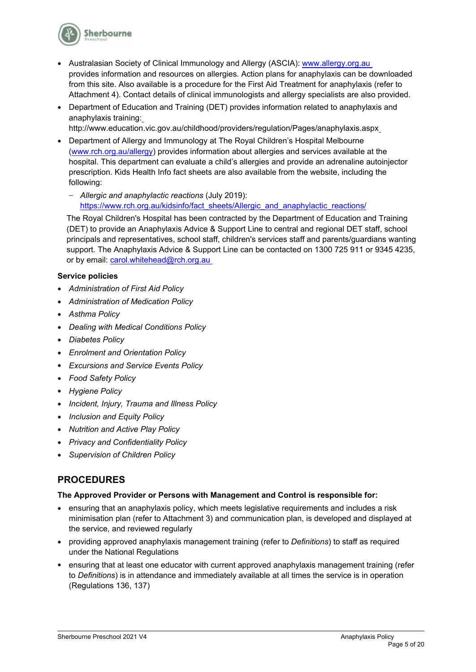

- Australasian Society of Clinical Immunology and Allergy (ASCIA): www.allergy.org.au provides information and resources on allergies. Action plans for anaphylaxis can be downloaded from this site. Also available is a procedure for the First Aid Treatment for anaphylaxis (refer to Attachment 4). Contact details of clinical immunologists and allergy specialists are also provided.
- Department of Education and Training (DET) provides information related to anaphylaxis and anaphylaxis training:

http://www.education.vic.gov.au/childhood/providers/regulation/Pages/anaphylaxis.aspx

 Department of Allergy and Immunology at The Royal Children's Hospital Melbourne (www.rch.org.au/allergy) provides information about allergies and services available at the hospital. This department can evaluate a child's allergies and provide an adrenaline autoinjector prescription. Kids Health Info fact sheets are also available from the website, including the following:

 *Allergic and anaphylactic reactions* (July 2019): https://www.rch.org.au/kidsinfo/fact\_sheets/Allergic\_and\_anaphylactic\_reactions/

The Royal Children's Hospital has been contracted by the Department of Education and Training (DET) to provide an Anaphylaxis Advice & Support Line to central and regional DET staff, school principals and representatives, school staff, children's services staff and parents/guardians wanting support. The Anaphylaxis Advice & Support Line can be contacted on 1300 725 911 or 9345 4235, or by email: carol.whitehead@rch.org.au

#### **Service policies**

- *Administration of First Aid Policy*
- *Administration of Medication Policy*
- *Asthma Policy*
- *Dealing with Medical Conditions Policy*
- *Diabetes Policy*
- *Enrolment and Orientation Policy*
- *Excursions and Service Events Policy*
- *Food Safety Policy*
- *Hygiene Policy*
- *Incident, Injury, Trauma and Illness Policy*
- *Inclusion and Equity Policy*
- *Nutrition and Active Play Policy*
- *Privacy and Confidentiality Policy*
- *Supervision of Children Policy*

## **PROCEDURES**

#### **The Approved Provider or Persons with Management and Control is responsible for:**

- ensuring that an anaphylaxis policy, which meets legislative requirements and includes a risk minimisation plan (refer to Attachment 3) and communication plan, is developed and displayed at the service, and reviewed regularly
- providing approved anaphylaxis management training (refer to *Definitions*) to staff as required under the National Regulations
- ensuring that at least one educator with current approved anaphylaxis management training (refer to *Definitions*) is in attendance and immediately available at all times the service is in operation (Regulations 136, 137)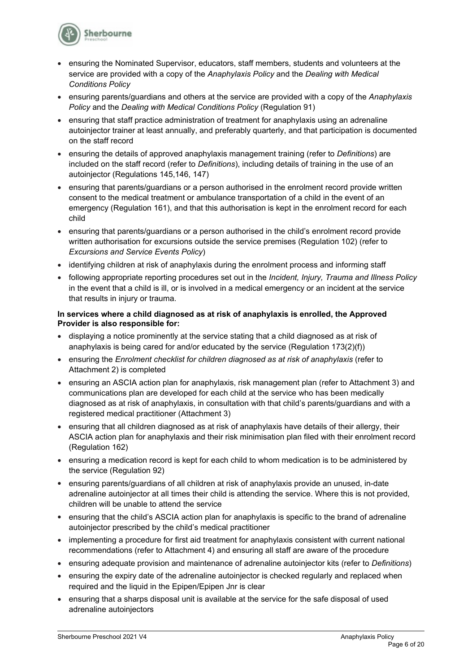

- ensuring the Nominated Supervisor, educators, staff members, students and volunteers at the service are provided with a copy of the *Anaphylaxis Policy* and the *Dealing with Medical Conditions Policy*
- ensuring parents/guardians and others at the service are provided with a copy of the *Anaphylaxis Policy* and the *Dealing with Medical Conditions Policy* (Regulation 91)
- ensuring that staff practice administration of treatment for anaphylaxis using an adrenaline autoinjector trainer at least annually, and preferably quarterly, and that participation is documented on the staff record
- ensuring the details of approved anaphylaxis management training (refer to *Definitions*) are included on the staff record (refer to *Definitions*), including details of training in the use of an autoinjector (Regulations 145,146, 147)
- ensuring that parents/guardians or a person authorised in the enrolment record provide written consent to the medical treatment or ambulance transportation of a child in the event of an emergency (Regulation 161), and that this authorisation is kept in the enrolment record for each child
- ensuring that parents/guardians or a person authorised in the child's enrolment record provide written authorisation for excursions outside the service premises (Regulation 102) (refer to *Excursions and Service Events Policy*)
- identifying children at risk of anaphylaxis during the enrolment process and informing staff
- following appropriate reporting procedures set out in the *Incident, Injury, Trauma and Illness Policy* in the event that a child is ill, or is involved in a medical emergency or an incident at the service that results in injury or trauma.

#### **In services where a child diagnosed as at risk of anaphylaxis is enrolled, the Approved Provider is also responsible for:**

- displaying a notice prominently at the service stating that a child diagnosed as at risk of anaphylaxis is being cared for and/or educated by the service (Regulation 173(2)(f))
- ensuring the *Enrolment checklist for children diagnosed as at risk of anaphylaxis* (refer to Attachment 2) is completed
- ensuring an ASCIA action plan for anaphylaxis, risk management plan (refer to Attachment 3) and communications plan are developed for each child at the service who has been medically diagnosed as at risk of anaphylaxis, in consultation with that child's parents/guardians and with a registered medical practitioner (Attachment 3)
- ensuring that all children diagnosed as at risk of anaphylaxis have details of their allergy, their ASCIA action plan for anaphylaxis and their risk minimisation plan filed with their enrolment record (Regulation 162)
- ensuring a medication record is kept for each child to whom medication is to be administered by the service (Regulation 92)
- ensuring parents/guardians of all children at risk of anaphylaxis provide an unused, in-date adrenaline autoinjector at all times their child is attending the service. Where this is not provided, children will be unable to attend the service
- ensuring that the child's ASCIA action plan for anaphylaxis is specific to the brand of adrenaline autoinjector prescribed by the child's medical practitioner
- implementing a procedure for first aid treatment for anaphylaxis consistent with current national recommendations (refer to Attachment 4) and ensuring all staff are aware of the procedure
- ensuring adequate provision and maintenance of adrenaline autoinjector kits (refer to *Definitions*)
- ensuring the expiry date of the adrenaline autoinjector is checked regularly and replaced when required and the liquid in the Epipen/Epipen Jnr is clear
- ensuring that a sharps disposal unit is available at the service for the safe disposal of used adrenaline autoinjectors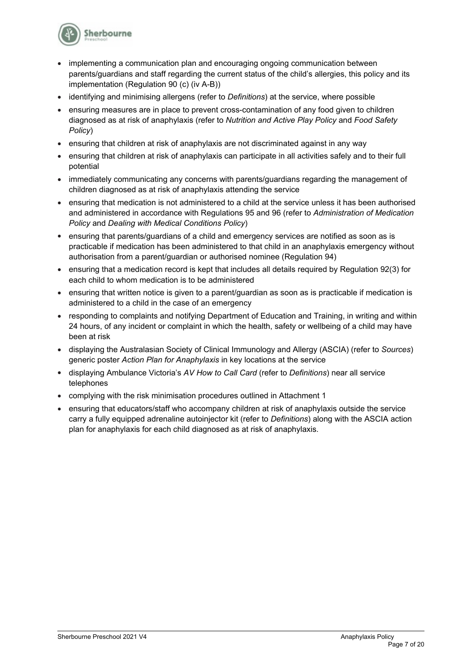

- implementing a communication plan and encouraging ongoing communication between parents/guardians and staff regarding the current status of the child's allergies, this policy and its implementation (Regulation 90 (c) (iv A-B))
- identifying and minimising allergens (refer to *Definitions*) at the service, where possible
- ensuring measures are in place to prevent cross-contamination of any food given to children diagnosed as at risk of anaphylaxis (refer to *Nutrition and Active Play Policy* and *Food Safety Policy*)
- ensuring that children at risk of anaphylaxis are not discriminated against in any way
- ensuring that children at risk of anaphylaxis can participate in all activities safely and to their full potential
- immediately communicating any concerns with parents/guardians regarding the management of children diagnosed as at risk of anaphylaxis attending the service
- ensuring that medication is not administered to a child at the service unless it has been authorised and administered in accordance with Regulations 95 and 96 (refer to *Administration of Medication Policy* and *Dealing with Medical Conditions Policy*)
- ensuring that parents/guardians of a child and emergency services are notified as soon as is practicable if medication has been administered to that child in an anaphylaxis emergency without authorisation from a parent/guardian or authorised nominee (Regulation 94)
- ensuring that a medication record is kept that includes all details required by Regulation 92(3) for each child to whom medication is to be administered
- ensuring that written notice is given to a parent/guardian as soon as is practicable if medication is administered to a child in the case of an emergency
- responding to complaints and notifying Department of Education and Training, in writing and within 24 hours, of any incident or complaint in which the health, safety or wellbeing of a child may have been at risk
- displaying the Australasian Society of Clinical Immunology and Allergy (ASCIA) (refer to *Sources*) generic poster *Action Plan for Anaphylaxis* in key locations at the service
- displaying Ambulance Victoria's *AV How to Call Card* (refer to *Definitions*) near all service telephones
- complying with the risk minimisation procedures outlined in Attachment 1
- ensuring that educators/staff who accompany children at risk of anaphylaxis outside the service carry a fully equipped adrenaline autoinjector kit (refer to *Definitions*) along with the ASCIA action plan for anaphylaxis for each child diagnosed as at risk of anaphylaxis.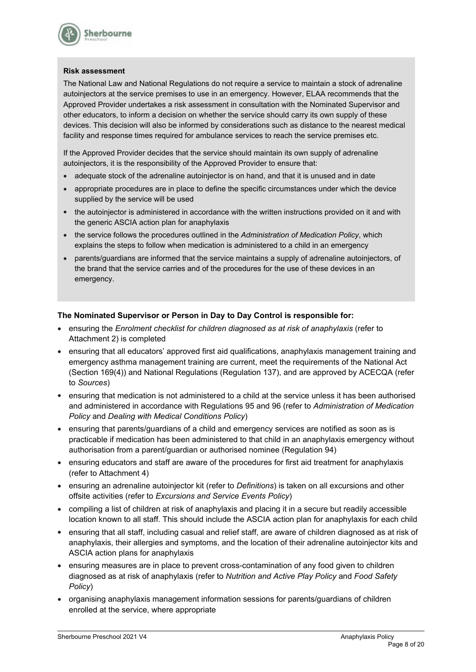

#### **Risk assessment**

The National Law and National Regulations do not require a service to maintain a stock of adrenaline autoinjectors at the service premises to use in an emergency. However, ELAA recommends that the Approved Provider undertakes a risk assessment in consultation with the Nominated Supervisor and other educators, to inform a decision on whether the service should carry its own supply of these devices. This decision will also be informed by considerations such as distance to the nearest medical facility and response times required for ambulance services to reach the service premises etc.

If the Approved Provider decides that the service should maintain its own supply of adrenaline autoinjectors, it is the responsibility of the Approved Provider to ensure that:

- adequate stock of the adrenaline autoinjector is on hand, and that it is unused and in date
- appropriate procedures are in place to define the specific circumstances under which the device supplied by the service will be used
- the autoinjector is administered in accordance with the written instructions provided on it and with the generic ASCIA action plan for anaphylaxis
- the service follows the procedures outlined in the *Administration of Medication Policy*, which explains the steps to follow when medication is administered to a child in an emergency
- parents/guardians are informed that the service maintains a supply of adrenaline autoinjectors, of the brand that the service carries and of the procedures for the use of these devices in an emergency.

#### **The Nominated Supervisor or Person in Day to Day Control is responsible for:**

- ensuring the *Enrolment checklist for children diagnosed as at risk of anaphylaxis* (refer to Attachment 2) is completed
- ensuring that all educators' approved first aid qualifications, anaphylaxis management training and emergency asthma management training are current, meet the requirements of the National Act (Section 169(4)) and National Regulations (Regulation 137), and are approved by ACECQA (refer to *Sources*)
- ensuring that medication is not administered to a child at the service unless it has been authorised and administered in accordance with Regulations 95 and 96 (refer to *Administration of Medication Policy* and *Dealing with Medical Conditions Policy*)
- ensuring that parents/guardians of a child and emergency services are notified as soon as is practicable if medication has been administered to that child in an anaphylaxis emergency without authorisation from a parent/guardian or authorised nominee (Regulation 94)
- ensuring educators and staff are aware of the procedures for first aid treatment for anaphylaxis (refer to Attachment 4)
- ensuring an adrenaline autoinjector kit (refer to *Definitions*) is taken on all excursions and other offsite activities (refer to *Excursions and Service Events Policy*)
- compiling a list of children at risk of anaphylaxis and placing it in a secure but readily accessible location known to all staff. This should include the ASCIA action plan for anaphylaxis for each child
- ensuring that all staff, including casual and relief staff, are aware of children diagnosed as at risk of anaphylaxis, their allergies and symptoms, and the location of their adrenaline autoinjector kits and ASCIA action plans for anaphylaxis
- ensuring measures are in place to prevent cross-contamination of any food given to children diagnosed as at risk of anaphylaxis (refer to *Nutrition and Active Play Policy* and *Food Safety Policy*)
- organising anaphylaxis management information sessions for parents/guardians of children enrolled at the service, where appropriate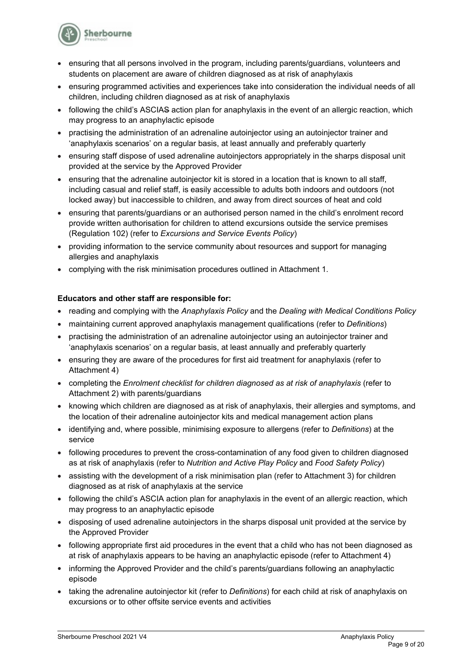

- ensuring that all persons involved in the program, including parents/guardians, volunteers and students on placement are aware of children diagnosed as at risk of anaphylaxis
- ensuring programmed activities and experiences take into consideration the individual needs of all children, including children diagnosed as at risk of anaphylaxis
- following the child's ASCIAS action plan for anaphylaxis in the event of an allergic reaction, which may progress to an anaphylactic episode
- practising the administration of an adrenaline autoinjector using an autoinjector trainer and 'anaphylaxis scenarios' on a regular basis, at least annually and preferably quarterly
- ensuring staff dispose of used adrenaline autoinjectors appropriately in the sharps disposal unit provided at the service by the Approved Provider
- ensuring that the adrenaline autoinjector kit is stored in a location that is known to all staff, including casual and relief staff, is easily accessible to adults both indoors and outdoors (not locked away) but inaccessible to children, and away from direct sources of heat and cold
- ensuring that parents/guardians or an authorised person named in the child's enrolment record provide written authorisation for children to attend excursions outside the service premises (Regulation 102) (refer to *Excursions and Service Events Policy*)
- providing information to the service community about resources and support for managing allergies and anaphylaxis
- complying with the risk minimisation procedures outlined in Attachment 1.

#### **Educators and other staff are responsible for:**

- reading and complying with the *Anaphylaxis Policy* and the *Dealing with Medical Conditions Policy*
- maintaining current approved anaphylaxis management qualifications (refer to *Definitions*)
- practising the administration of an adrenaline autoinjector using an autoinjector trainer and 'anaphylaxis scenarios' on a regular basis, at least annually and preferably quarterly
- ensuring they are aware of the procedures for first aid treatment for anaphylaxis (refer to Attachment 4)
- completing the *Enrolment checklist for children diagnosed as at risk of anaphylaxis* (refer to Attachment 2) with parents/guardians
- knowing which children are diagnosed as at risk of anaphylaxis, their allergies and symptoms, and the location of their adrenaline autoinjector kits and medical management action plans
- identifying and, where possible, minimising exposure to allergens (refer to *Definitions*) at the service
- following procedures to prevent the cross-contamination of any food given to children diagnosed as at risk of anaphylaxis (refer to *Nutrition and Active Play Policy* and *Food Safety Policy*)
- assisting with the development of a risk minimisation plan (refer to Attachment 3) for children diagnosed as at risk of anaphylaxis at the service
- following the child's ASCIA action plan for anaphylaxis in the event of an allergic reaction, which may progress to an anaphylactic episode
- disposing of used adrenaline autoinjectors in the sharps disposal unit provided at the service by the Approved Provider
- following appropriate first aid procedures in the event that a child who has not been diagnosed as at risk of anaphylaxis appears to be having an anaphylactic episode (refer to Attachment 4)
- informing the Approved Provider and the child's parents/guardians following an anaphylactic episode
- taking the adrenaline autoinjector kit (refer to *Definitions*) for each child at risk of anaphylaxis on excursions or to other offsite service events and activities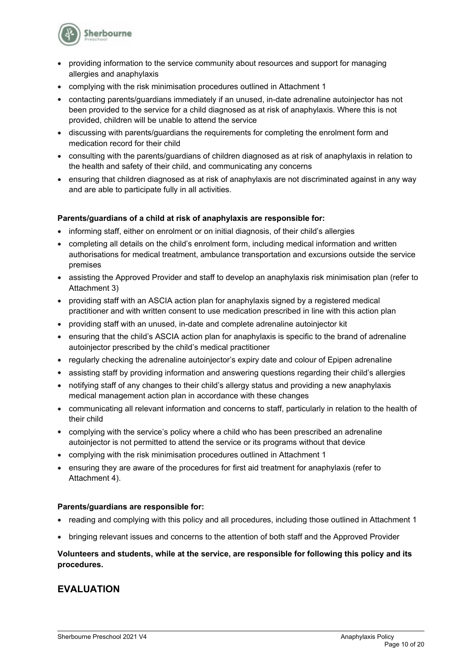

- providing information to the service community about resources and support for managing allergies and anaphylaxis
- complying with the risk minimisation procedures outlined in Attachment 1
- contacting parents/guardians immediately if an unused, in-date adrenaline autoinjector has not been provided to the service for a child diagnosed as at risk of anaphylaxis. Where this is not provided, children will be unable to attend the service
- discussing with parents/guardians the requirements for completing the enrolment form and medication record for their child
- consulting with the parents/guardians of children diagnosed as at risk of anaphylaxis in relation to the health and safety of their child, and communicating any concerns
- ensuring that children diagnosed as at risk of anaphylaxis are not discriminated against in any way and are able to participate fully in all activities.

#### **Parents/guardians of a child at risk of anaphylaxis are responsible for:**

- informing staff, either on enrolment or on initial diagnosis, of their child's allergies
- completing all details on the child's enrolment form, including medical information and written authorisations for medical treatment, ambulance transportation and excursions outside the service premises
- assisting the Approved Provider and staff to develop an anaphylaxis risk minimisation plan (refer to Attachment 3)
- providing staff with an ASCIA action plan for anaphylaxis signed by a registered medical practitioner and with written consent to use medication prescribed in line with this action plan
- providing staff with an unused, in-date and complete adrenaline autoinjector kit
- ensuring that the child's ASCIA action plan for anaphylaxis is specific to the brand of adrenaline autoinjector prescribed by the child's medical practitioner
- regularly checking the adrenaline autoinjector's expiry date and colour of Epipen adrenaline
- assisting staff by providing information and answering questions regarding their child's allergies
- notifying staff of any changes to their child's allergy status and providing a new anaphylaxis medical management action plan in accordance with these changes
- communicating all relevant information and concerns to staff, particularly in relation to the health of their child
- complying with the service's policy where a child who has been prescribed an adrenaline autoinjector is not permitted to attend the service or its programs without that device
- complying with the risk minimisation procedures outlined in Attachment 1
- ensuring they are aware of the procedures for first aid treatment for anaphylaxis (refer to Attachment 4).

#### **Parents/guardians are responsible for:**

- reading and complying with this policy and all procedures, including those outlined in Attachment 1
- bringing relevant issues and concerns to the attention of both staff and the Approved Provider

#### **Volunteers and students, while at the service, are responsible for following this policy and its procedures.**

### **EVALUATION**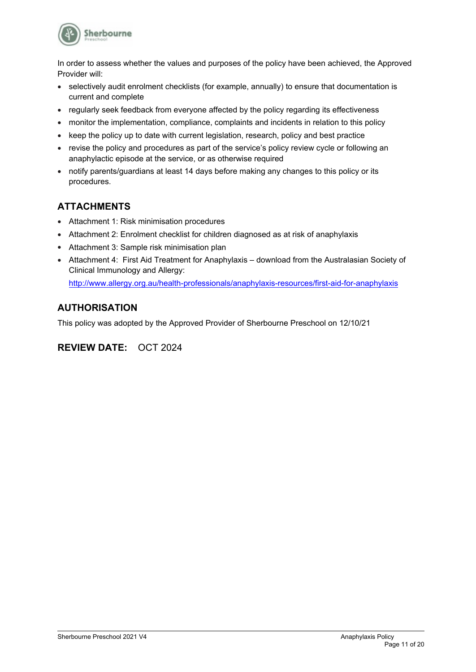

In order to assess whether the values and purposes of the policy have been achieved, the Approved Provider will:

- selectively audit enrolment checklists (for example, annually) to ensure that documentation is current and complete
- regularly seek feedback from everyone affected by the policy regarding its effectiveness
- monitor the implementation, compliance, complaints and incidents in relation to this policy
- keep the policy up to date with current legislation, research, policy and best practice
- revise the policy and procedures as part of the service's policy review cycle or following an anaphylactic episode at the service, or as otherwise required
- notify parents/guardians at least 14 days before making any changes to this policy or its procedures.

# **ATTACHMENTS**

- Attachment 1: Risk minimisation procedures
- Attachment 2: Enrolment checklist for children diagnosed as at risk of anaphylaxis
- Attachment 3: Sample risk minimisation plan
- Attachment 4: First Aid Treatment for Anaphylaxis download from the Australasian Society of Clinical Immunology and Allergy:

http://www.allergy.org.au/health-professionals/anaphylaxis-resources/first-aid-for-anaphylaxis

### **AUTHORISATION**

This policy was adopted by the Approved Provider of Sherbourne Preschool on 12/10/21

**REVIEW DATE:** OCT 2024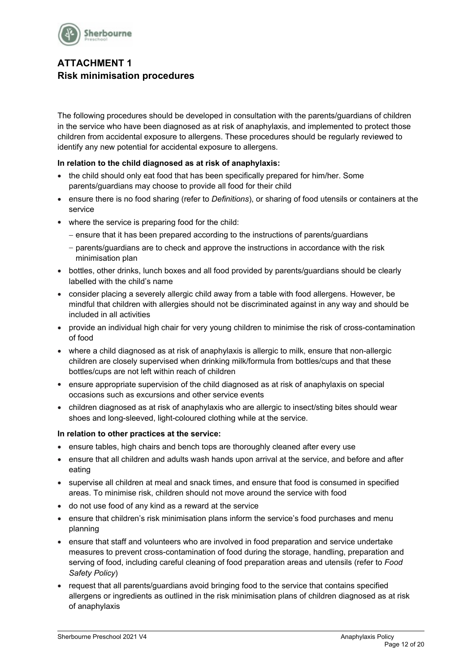

# **ATTACHMENT 1 Risk minimisation procedures**

The following procedures should be developed in consultation with the parents/guardians of children in the service who have been diagnosed as at risk of anaphylaxis, and implemented to protect those children from accidental exposure to allergens. These procedures should be regularly reviewed to identify any new potential for accidental exposure to allergens.

#### **In relation to the child diagnosed as at risk of anaphylaxis:**

- the child should only eat food that has been specifically prepared for him/her. Some parents/guardians may choose to provide all food for their child
- ensure there is no food sharing (refer to *Definitions*), or sharing of food utensils or containers at the service
- where the service is preparing food for the child:
	- ensure that it has been prepared according to the instructions of parents/guardians
	- parents/guardians are to check and approve the instructions in accordance with the risk minimisation plan
- bottles, other drinks, lunch boxes and all food provided by parents/guardians should be clearly labelled with the child's name
- consider placing a severely allergic child away from a table with food allergens. However, be mindful that children with allergies should not be discriminated against in any way and should be included in all activities
- provide an individual high chair for very young children to minimise the risk of cross-contamination of food
- where a child diagnosed as at risk of anaphylaxis is allergic to milk, ensure that non-allergic children are closely supervised when drinking milk/formula from bottles/cups and that these bottles/cups are not left within reach of children
- ensure appropriate supervision of the child diagnosed as at risk of anaphylaxis on special occasions such as excursions and other service events
- children diagnosed as at risk of anaphylaxis who are allergic to insect/sting bites should wear shoes and long-sleeved, light-coloured clothing while at the service.

#### **In relation to other practices at the service:**

- ensure tables, high chairs and bench tops are thoroughly cleaned after every use
- ensure that all children and adults wash hands upon arrival at the service, and before and after eating
- supervise all children at meal and snack times, and ensure that food is consumed in specified areas. To minimise risk, children should not move around the service with food
- do not use food of any kind as a reward at the service
- ensure that children's risk minimisation plans inform the service's food purchases and menu planning
- ensure that staff and volunteers who are involved in food preparation and service undertake measures to prevent cross-contamination of food during the storage, handling, preparation and serving of food, including careful cleaning of food preparation areas and utensils (refer to *Food Safety Policy*)
- request that all parents/guardians avoid bringing food to the service that contains specified allergens or ingredients as outlined in the risk minimisation plans of children diagnosed as at risk of anaphylaxis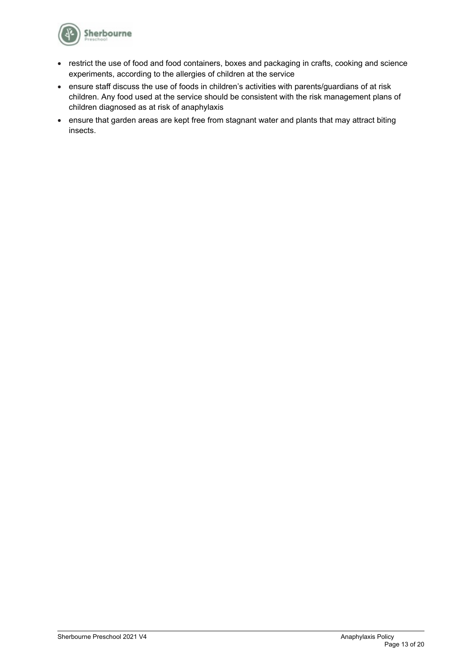

- restrict the use of food and food containers, boxes and packaging in crafts, cooking and science experiments, according to the allergies of children at the service
- ensure staff discuss the use of foods in children's activities with parents/guardians of at risk children. Any food used at the service should be consistent with the risk management plans of children diagnosed as at risk of anaphylaxis
- ensure that garden areas are kept free from stagnant water and plants that may attract biting insects.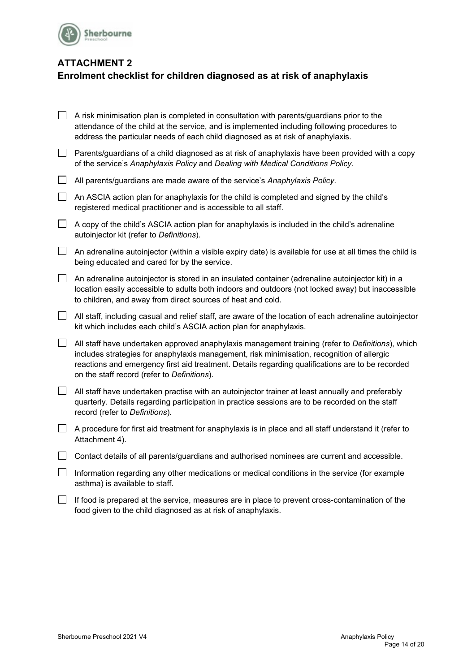

# **ATTACHMENT 2**

# **Enrolment checklist for children diagnosed as at risk of anaphylaxis**

|                             | A risk minimisation plan is completed in consultation with parents/guardians prior to the<br>attendance of the child at the service, and is implemented including following procedures to<br>address the particular needs of each child diagnosed as at risk of anaphylaxis.                                                                      |
|-----------------------------|---------------------------------------------------------------------------------------------------------------------------------------------------------------------------------------------------------------------------------------------------------------------------------------------------------------------------------------------------|
| $\Box$                      | Parents/guardians of a child diagnosed as at risk of anaphylaxis have been provided with a copy<br>of the service's Anaphylaxis Policy and Dealing with Medical Conditions Policy.                                                                                                                                                                |
| $\Box$                      | All parents/guardians are made aware of the service's Anaphylaxis Policy.                                                                                                                                                                                                                                                                         |
| ⊔                           | An ASCIA action plan for anaphylaxis for the child is completed and signed by the child's<br>registered medical practitioner and is accessible to all staff.                                                                                                                                                                                      |
| $\mathcal{L}_{\mathcal{A}}$ | A copy of the child's ASCIA action plan for anaphylaxis is included in the child's adrenaline<br>autoinjector kit (refer to Definitions).                                                                                                                                                                                                         |
| Ш                           | An adrenaline autoinjector (within a visible expiry date) is available for use at all times the child is<br>being educated and cared for by the service.                                                                                                                                                                                          |
| $\Box$                      | An adrenaline autoinjector is stored in an insulated container (adrenaline autoinjector kit) in a<br>location easily accessible to adults both indoors and outdoors (not locked away) but inaccessible<br>to children, and away from direct sources of heat and cold.                                                                             |
| $\Box$                      | All staff, including casual and relief staff, are aware of the location of each adrenaline autoinjector<br>kit which includes each child's ASCIA action plan for anaphylaxis.                                                                                                                                                                     |
| $\Box$                      | All staff have undertaken approved anaphylaxis management training (refer to Definitions), which<br>includes strategies for anaphylaxis management, risk minimisation, recognition of allergic<br>reactions and emergency first aid treatment. Details regarding qualifications are to be recorded<br>on the staff record (refer to Definitions). |
| $\Box$                      | All staff have undertaken practise with an autoinjector trainer at least annually and preferably<br>quarterly. Details regarding participation in practice sessions are to be recorded on the staff<br>record (refer to Definitions).                                                                                                             |
| $\Box$                      | A procedure for first aid treatment for anaphylaxis is in place and all staff understand it (refer to<br>Attachment 4).                                                                                                                                                                                                                           |
| $\Box$                      | Contact details of all parents/guardians and authorised nominees are current and accessible.                                                                                                                                                                                                                                                      |
| $\Box$                      | Information regarding any other medications or medical conditions in the service (for example<br>asthma) is available to staff.                                                                                                                                                                                                                   |
|                             | If food is prepared at the service, measures are in place to prevent cross-contamination of the<br>food given to the child diagnosed as at risk of anaphylaxis.                                                                                                                                                                                   |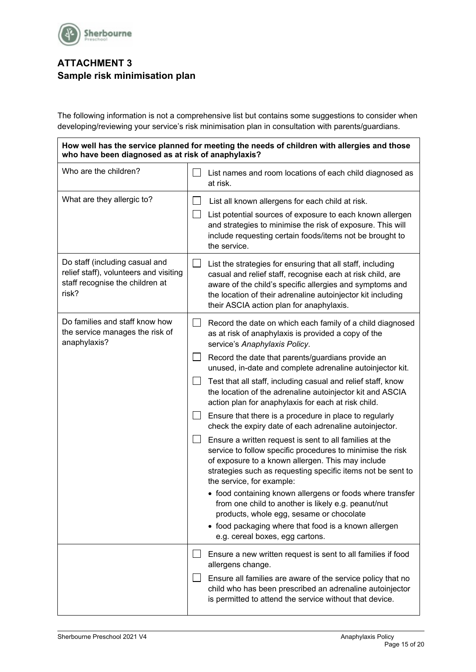

# **ATTACHMENT 3 Sample risk minimisation plan**

The following information is not a comprehensive list but contains some suggestions to consider when developing/reviewing your service's risk minimisation plan in consultation with parents/guardians.

**How well has the service planned for meeting the needs of children with allergies and those who have been diagnosed as at risk of anaphylaxis?**

| Who are the children?                                                                                                | List names and room locations of each child diagnosed as<br>at risk.                                                                                                                                                                                                                            |
|----------------------------------------------------------------------------------------------------------------------|-------------------------------------------------------------------------------------------------------------------------------------------------------------------------------------------------------------------------------------------------------------------------------------------------|
| What are they allergic to?                                                                                           | List all known allergens for each child at risk.<br>$\mathbf{I}$<br>List potential sources of exposure to each known allergen<br>$\mathsf{L}$<br>and strategies to minimise the risk of exposure. This will<br>include requesting certain foods/items not be brought to<br>the service.         |
| Do staff (including casual and<br>relief staff), volunteers and visiting<br>staff recognise the children at<br>risk? | List the strategies for ensuring that all staff, including<br>casual and relief staff, recognise each at risk child, are<br>aware of the child's specific allergies and symptoms and<br>the location of their adrenaline autoinjector kit including<br>their ASCIA action plan for anaphylaxis. |
| Do families and staff know how<br>the service manages the risk of<br>anaphylaxis?                                    | Record the date on which each family of a child diagnosed<br>$\mathsf{I}$<br>as at risk of anaphylaxis is provided a copy of the<br>service's Anaphylaxis Policy.                                                                                                                               |
|                                                                                                                      | Record the date that parents/guardians provide an<br>unused, in-date and complete adrenaline autoinjector kit.                                                                                                                                                                                  |
|                                                                                                                      | Test that all staff, including casual and relief staff, know<br>$\mathbf{I}$<br>the location of the adrenaline autoinjector kit and ASCIA<br>action plan for anaphylaxis for each at risk child.                                                                                                |
|                                                                                                                      | Ensure that there is a procedure in place to regularly<br>$\mathbf{1}$<br>check the expiry date of each adrenaline autoinjector.                                                                                                                                                                |
|                                                                                                                      | Ensure a written request is sent to all families at the<br>service to follow specific procedures to minimise the risk<br>of exposure to a known allergen. This may include<br>strategies such as requesting specific items not be sent to<br>the service, for example:                          |
|                                                                                                                      | • food containing known allergens or foods where transfer<br>from one child to another is likely e.g. peanut/nut<br>products, whole egg, sesame or chocolate<br>• food packaging where that food is a known allergen<br>e.g. cereal boxes, egg cartons.                                         |
|                                                                                                                      | Ensure a new written request is sent to all families if food<br>allergens change.<br>Ensure all families are aware of the service policy that no<br>child who has been prescribed an adrenaline autoinjector<br>is permitted to attend the service without that device.                         |
|                                                                                                                      |                                                                                                                                                                                                                                                                                                 |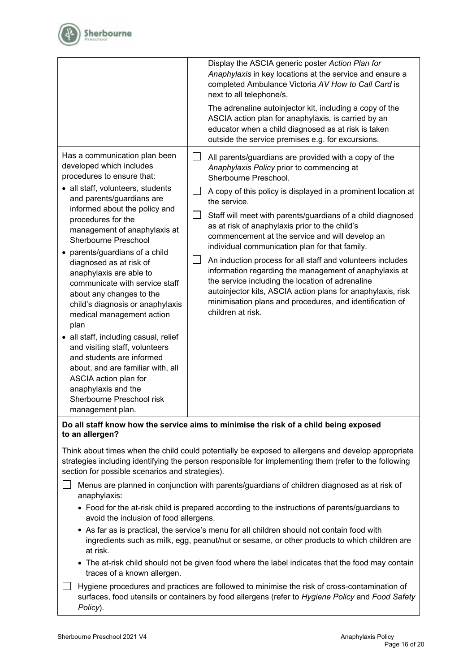

|                                                                                                                                                                                                                                                                                                                                                                                                                                                                                                                                                                                                                                                                                                                                                                  | Display the ASCIA generic poster Action Plan for<br>Anaphylaxis in key locations at the service and ensure a<br>completed Ambulance Victoria AV How to Call Card is<br>next to all telephone/s.<br>The adrenaline autoinjector kit, including a copy of the<br>ASCIA action plan for anaphylaxis, is carried by an<br>educator when a child diagnosed as at risk is taken<br>outside the service premises e.g. for excursions.                                                                                                                                                                                                                                                                                                                                                                                                                         |  |  |  |  |
|------------------------------------------------------------------------------------------------------------------------------------------------------------------------------------------------------------------------------------------------------------------------------------------------------------------------------------------------------------------------------------------------------------------------------------------------------------------------------------------------------------------------------------------------------------------------------------------------------------------------------------------------------------------------------------------------------------------------------------------------------------------|--------------------------------------------------------------------------------------------------------------------------------------------------------------------------------------------------------------------------------------------------------------------------------------------------------------------------------------------------------------------------------------------------------------------------------------------------------------------------------------------------------------------------------------------------------------------------------------------------------------------------------------------------------------------------------------------------------------------------------------------------------------------------------------------------------------------------------------------------------|--|--|--|--|
| Has a communication plan been<br>developed which includes<br>procedures to ensure that:<br>• all staff, volunteers, students<br>and parents/guardians are<br>informed about the policy and<br>procedures for the<br>management of anaphylaxis at<br>Sherbourne Preschool<br>parents/guardians of a child<br>$\bullet$<br>diagnosed as at risk of<br>anaphylaxis are able to<br>communicate with service staff<br>about any changes to the<br>child's diagnosis or anaphylaxis<br>medical management action<br>plan<br>• all staff, including casual, relief<br>and visiting staff, volunteers<br>and students are informed<br>about, and are familiar with, all<br>ASCIA action plan for<br>anaphylaxis and the<br>Sherbourne Preschool risk<br>management plan. | All parents/guardians are provided with a copy of the<br>Anaphylaxis Policy prior to commencing at<br>Sherbourne Preschool.<br>A copy of this policy is displayed in a prominent location at<br>the service.<br>Staff will meet with parents/guardians of a child diagnosed<br>as at risk of anaphylaxis prior to the child's<br>commencement at the service and will develop an<br>individual communication plan for that family.<br>An induction process for all staff and volunteers includes<br>information regarding the management of anaphylaxis at<br>the service including the location of adrenaline<br>autoinjector kits, ASCIA action plans for anaphylaxis, risk<br>minimisation plans and procedures, and identification of<br>children at risk.<br>Do all staff know how the service aims to minimise the risk of a child being exposed |  |  |  |  |
| to an allergen?<br>section for possible scenarios and strategies).                                                                                                                                                                                                                                                                                                                                                                                                                                                                                                                                                                                                                                                                                               | Think about times when the child could potentially be exposed to allergens and develop appropriate<br>strategies including identifying the person responsible for implementing them (refer to the following                                                                                                                                                                                                                                                                                                                                                                                                                                                                                                                                                                                                                                            |  |  |  |  |
| Menus are planned in conjunction with parents/guardians of children diagnosed as at risk of<br>anaphylaxis:<br>• Food for the at-risk child is prepared according to the instructions of parents/guardians to<br>avoid the inclusion of food allergens.<br>• As far as is practical, the service's menu for all children should not contain food with<br>ingredients such as milk, egg, peanut/nut or sesame, or other products to which children are<br>at risk.<br>• The at-risk child should not be given food where the label indicates that the food may contain<br>traces of a known allergen.<br>Hygiene procedures and practices are followed to minimise the risk of cross-contamination of                                                             |                                                                                                                                                                                                                                                                                                                                                                                                                                                                                                                                                                                                                                                                                                                                                                                                                                                        |  |  |  |  |

surfaces, food utensils or containers by food allergens (refer to *Hygiene Policy* and *Food Safety Policy*).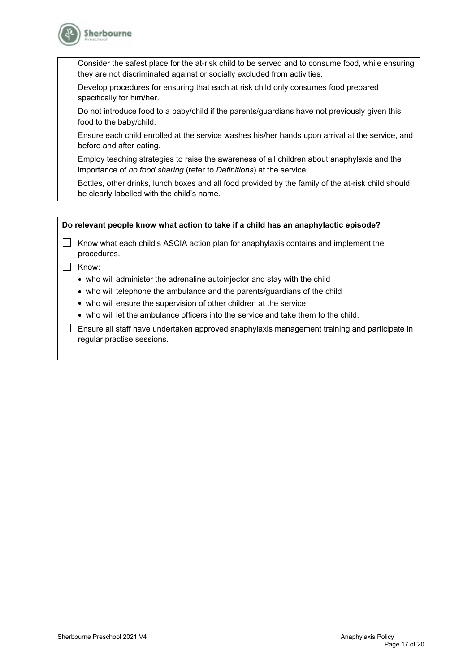

Consider the safest place for the at-risk child to be served and to consume food, while ensuring they are not discriminated against or socially excluded from activities.

Develop procedures for ensuring that each at risk child only consumes food prepared specifically for him/her.

Do not introduce food to a baby/child if the parents/guardians have not previously given this food to the baby/child.

Ensure each child enrolled at the service washes his/her hands upon arrival at the service, and before and after eating.

Employ teaching strategies to raise the awareness of all children about anaphylaxis and the importance of *no food sharing* (refer to *Definitions*) at the service.

Bottles, other drinks, lunch boxes and all food provided by the family of the at-risk child should be clearly labelled with the child's name.

| Do relevant people know what action to take if a child has an anaphylactic episode?                                        |  |  |
|----------------------------------------------------------------------------------------------------------------------------|--|--|
| Know what each child's ASCIA action plan for anaphylaxis contains and implement the<br>procedures.                         |  |  |
| Know:                                                                                                                      |  |  |
| • who will administer the adrenaline autoinjector and stay with the child                                                  |  |  |
| • who will telephone the ambulance and the parents/guardians of the child                                                  |  |  |
| • who will ensure the supervision of other children at the service                                                         |  |  |
| • who will let the ambulance officers into the service and take them to the child.                                         |  |  |
| Ensure all staff have undertaken approved anaphylaxis management training and participate in<br>regular practise sessions. |  |  |
|                                                                                                                            |  |  |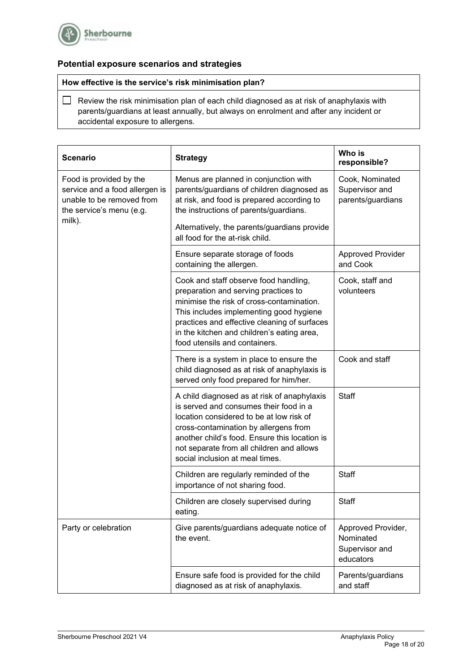

### **Potential exposure scenarios and strategies**

#### **How effective is the service's risk minimisation plan?**

 $\Box$  Review the risk minimisation plan of each child diagnosed as at risk of anaphylaxis with parents/guardians at least annually, but always on enrolment and after any incident or accidental exposure to allergens.

| <b>Scenario</b>                                                                                                    | <b>Strategy</b>                                                                                                                                                                                                                                                                                             | Who is<br>responsible?                                         |
|--------------------------------------------------------------------------------------------------------------------|-------------------------------------------------------------------------------------------------------------------------------------------------------------------------------------------------------------------------------------------------------------------------------------------------------------|----------------------------------------------------------------|
| Food is provided by the<br>service and a food allergen is<br>unable to be removed from<br>the service's menu (e.g. | Menus are planned in conjunction with<br>parents/guardians of children diagnosed as<br>at risk, and food is prepared according to<br>the instructions of parents/guardians.                                                                                                                                 | Cook, Nominated<br>Supervisor and<br>parents/guardians         |
| milk).                                                                                                             | Alternatively, the parents/guardians provide<br>all food for the at-risk child.                                                                                                                                                                                                                             |                                                                |
|                                                                                                                    | Ensure separate storage of foods<br>containing the allergen.                                                                                                                                                                                                                                                | <b>Approved Provider</b><br>and Cook                           |
|                                                                                                                    | Cook and staff observe food handling,<br>preparation and serving practices to<br>minimise the risk of cross-contamination.<br>This includes implementing good hygiene<br>practices and effective cleaning of surfaces<br>in the kitchen and children's eating area,<br>food utensils and containers.        | Cook, staff and<br>volunteers                                  |
|                                                                                                                    | There is a system in place to ensure the<br>child diagnosed as at risk of anaphylaxis is<br>served only food prepared for him/her.                                                                                                                                                                          | Cook and staff                                                 |
|                                                                                                                    | A child diagnosed as at risk of anaphylaxis<br>is served and consumes their food in a<br>location considered to be at low risk of<br>cross-contamination by allergens from<br>another child's food. Ensure this location is<br>not separate from all children and allows<br>social inclusion at meal times. | Staff                                                          |
|                                                                                                                    | Children are regularly reminded of the<br>importance of not sharing food.                                                                                                                                                                                                                                   | Staff                                                          |
|                                                                                                                    | Children are closely supervised during<br>eating.                                                                                                                                                                                                                                                           | Staff                                                          |
| Party or celebration                                                                                               | Give parents/guardians adequate notice of<br>the event.                                                                                                                                                                                                                                                     | Approved Provider,<br>Nominated<br>Supervisor and<br>educators |
|                                                                                                                    | Ensure safe food is provided for the child<br>diagnosed as at risk of anaphylaxis.                                                                                                                                                                                                                          | Parents/guardians<br>and staff                                 |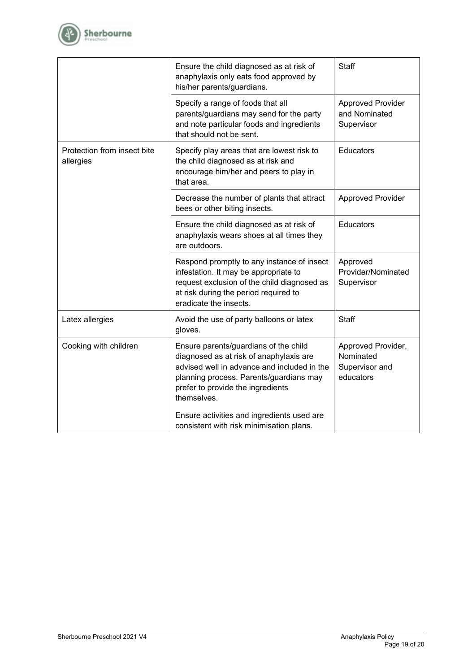

|                                          | Ensure the child diagnosed as at risk of<br>anaphylaxis only eats food approved by<br>his/her parents/guardians.                                                                                                               | <b>Staff</b>                                                   |
|------------------------------------------|--------------------------------------------------------------------------------------------------------------------------------------------------------------------------------------------------------------------------------|----------------------------------------------------------------|
|                                          | Specify a range of foods that all<br>parents/guardians may send for the party<br>and note particular foods and ingredients<br>that should not be sent.                                                                         | <b>Approved Provider</b><br>and Nominated<br>Supervisor        |
| Protection from insect bite<br>allergies | Specify play areas that are lowest risk to<br>the child diagnosed as at risk and<br>encourage him/her and peers to play in<br>that area.                                                                                       | Educators                                                      |
|                                          | Decrease the number of plants that attract<br>bees or other biting insects.                                                                                                                                                    | <b>Approved Provider</b>                                       |
|                                          | Ensure the child diagnosed as at risk of<br>anaphylaxis wears shoes at all times they<br>are outdoors.                                                                                                                         | Educators                                                      |
|                                          | Respond promptly to any instance of insect<br>infestation. It may be appropriate to<br>request exclusion of the child diagnosed as<br>at risk during the period required to<br>eradicate the insects.                          | Approved<br>Provider/Nominated<br>Supervisor                   |
| Latex allergies                          | Avoid the use of party balloons or latex<br>gloves.                                                                                                                                                                            | Staff                                                          |
| Cooking with children                    | Ensure parents/guardians of the child<br>diagnosed as at risk of anaphylaxis are<br>advised well in advance and included in the<br>planning process. Parents/guardians may<br>prefer to provide the ingredients<br>themselves. | Approved Provider,<br>Nominated<br>Supervisor and<br>educators |
|                                          | Ensure activities and ingredients used are<br>consistent with risk minimisation plans.                                                                                                                                         |                                                                |